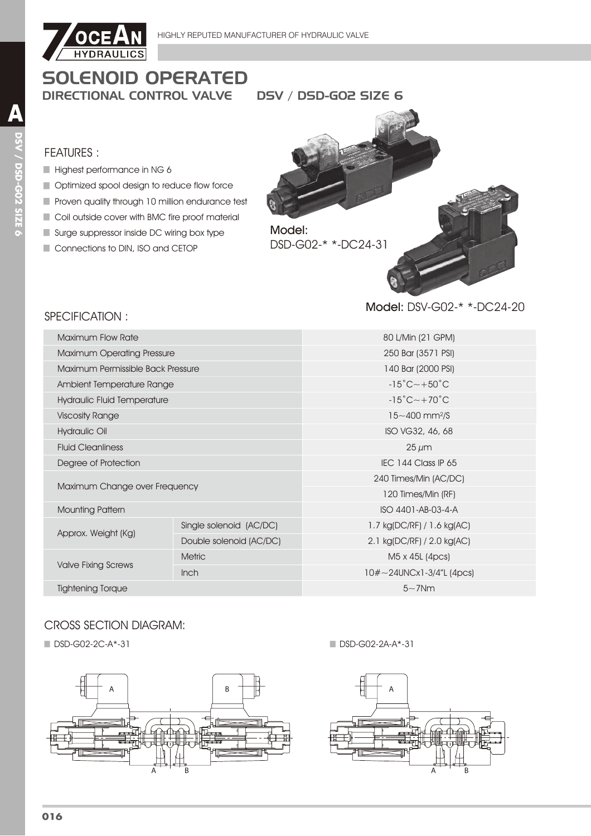

# **SOLENOID OPERATED DIRECTIONAL CONTROL VALVE**

**DSV / DSD-GO2 SIZE 6** 

### **FEATURES:**

- Highest performance in NG 6
- Optimized spool design to reduce flow force
- Proven quality through 10 million endurance test
- Coil outside cover with BMC fire proof material
- Surge suppressor inside DC wiring box type
- Connections to DIN, ISO and CETOP

SPECIFICATION:



#### Model: DSV-G02-\* \*-DC24-20

| <b>Maximum Flow Rate</b>          |                         | 80 L/Min (21 GPM)                        |  |  |
|-----------------------------------|-------------------------|------------------------------------------|--|--|
| <b>Maximum Operating Pressure</b> |                         | 250 Bar (3571 PSI)                       |  |  |
| Maximum Permissible Back Pressure |                         | 140 Bar (2000 PSI)                       |  |  |
| Ambient Temperature Range         |                         | $-15^{\circ}$ C $\sim$ +50 $^{\circ}$ C  |  |  |
| Hydraulic Fluid Temperature       |                         | $-15^{\circ}$ C $-+70^{\circ}$ C         |  |  |
| <b>Viscosity Range</b>            |                         | $15 - 400$ mm <sup>2</sup> /S            |  |  |
| Hydraulic Oil                     |                         | ISO VG32, 46, 68                         |  |  |
| <b>Fluid Cleanliness</b>          |                         | $25 \mu m$                               |  |  |
| Degree of Protection              |                         | IEC 144 Class IP 65                      |  |  |
|                                   |                         | 240 Times/Min (AC/DC)                    |  |  |
| Maximum Change over Frequency     |                         | 120 Times/Min (RF)                       |  |  |
| <b>Mounting Pattern</b>           |                         | ISO 4401-AB-03-4-A                       |  |  |
|                                   | Single solenoid (AC/DC) | 1.7 kg(DC/RF) / 1.6 kg(AC)               |  |  |
| Approx. Weight (Kg)               | Double solenoid (AC/DC) | 2.1 kg(DC/RF) / 2.0 kg(AC)               |  |  |
|                                   | <b>Metric</b>           | M <sub>5</sub> x 4 <sub>5</sub> L (4pcs) |  |  |
| <b>Valve Fixing Screws</b>        | Inch                    | $10\# \sim 24$ UNCx1-3/4"L (4pcs)        |  |  |
| <b>Tightening Torque</b>          |                         | $5\sim$ 7Nm                              |  |  |
|                                   |                         |                                          |  |  |

# **CROSS SECTION DIAGRAM:**

■ DSD-G02-2C-A\*-31



DSD-G02-2A-A\*-31

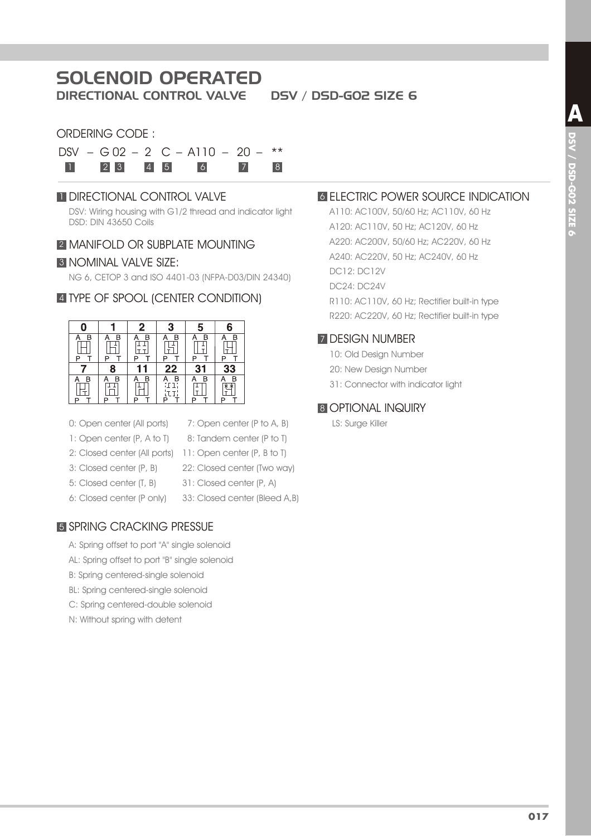# SOLENOID OPERATED

DIRECTIONAL CONTROL VALVE DSV / DSD-G02 SIZE 6

# ORDERING CODE :

|  |  | $DSV - G02 - 2 C - A110 - 20 - **$ |          |  |
|--|--|------------------------------------|----------|--|
|  |  | 1 2 3 4 5 6                        | $7 \t 8$ |  |

### **1 DIRECTIONAL CONTROL VALVE**

DSV: Wiring housing with G1/2 thread and indicator light DSD: DIN 43650 Coils

#### **2 MANIFOLD OR SUBPLATE MOUNTING**

#### **3 NOMINAL VALVE SIZE:**

NG 6, CETOP 3 and ISO 4401-03 (NFPA-D03/DIN 24340)

### 4 TYPE OF SPOOL (CENTER CONDITION)



- 0: Open center (All ports)
- 7: Open center (P to A, B) 8: Tandem center (P to T)
- 1: Open center (P, A to T)
- 2: Closed center (All ports) 11: Open center (P, B to T)
- 3: Closed center (P, B)
- 22: Closed center (Two way)
- 5: Closed center (T, B) 6: Closed center (P only)
- 31: Closed center (P, A) 33: Closed center (Bleed A,B)

# 5 SPRING CRACKING PRESSUE

- A: Spring offset to port "A" single solenoid
- AL: Spring offset to port "B" single solenoid
- B: Spring centered-single solenoid
- BL: Spring centered-single solenoid
- C: Spring centered-double solenoid
- N: Without spring with detent

# **6 ELECTRIC POWER SOURCE INDICATION**

A110: AC100V, 50/60 Hz; AC110V, 60 Hz A120: AC110V, 50 Hz; AC120V, 60 Hz A220: AC200V, 50/60 Hz; AC220V, 60 Hz A240: AC220V, 50 Hz; AC240V, 60 Hz DC12: DC12V DC24: DC24V R110: AC110V, 60 Hz; Rectifier built-in type R220: AC220V, 60 Hz; Rectifier built-in type

#### **7 DESIGN NUMBER**

- 10: Old Design Number
- 20: New Design Number
- 31: Connector with indicator light

# **8 OPTIONAL INQUIRY**

LS: Surge Killer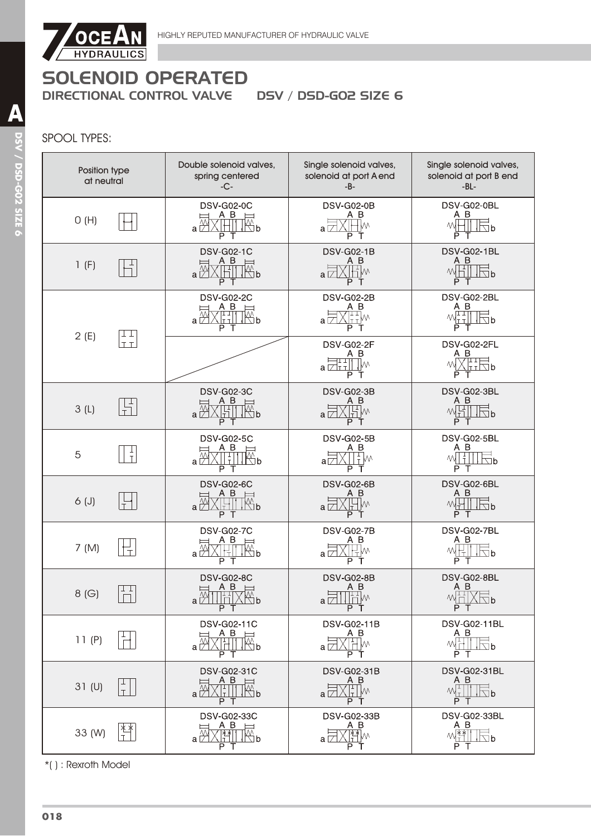

# SPOOL TYPES:

| Position type<br>at neutral | Double solenoid valves,<br>spring centered<br>$-C-$                                            | Single solenoid valves,<br>solenoid at port A end<br>$-B-$                                                                                                                                                                                                                                                                                                                      | Single solenoid valves,<br>solenoid at port B end<br>$-BL-$                                                                                                                                                                                                                                                                                                                                                          |
|-----------------------------|------------------------------------------------------------------------------------------------|---------------------------------------------------------------------------------------------------------------------------------------------------------------------------------------------------------------------------------------------------------------------------------------------------------------------------------------------------------------------------------|----------------------------------------------------------------------------------------------------------------------------------------------------------------------------------------------------------------------------------------------------------------------------------------------------------------------------------------------------------------------------------------------------------------------|
| O(H)                        | <b>DSV-G02-0C</b><br>A B<br>a∑<br>W∆ь<br>P T                                                   | <b>DSV-G02-0B</b><br>ΑB<br>W٧<br>a ⊥<br>P<br>т                                                                                                                                                                                                                                                                                                                                  | DSV-G02-0BL<br>A B<br>$\overline{\triangle}$ b<br>P T                                                                                                                                                                                                                                                                                                                                                                |
| 1(F)                        | <b>DSV-G02-1C</b><br>A B<br>$\overline{\mathbb{Z}}$ b<br>$a \bigcirc \emptyset$<br>P<br>$\top$ | <b>DSV-G02-1B</b><br>ΑB<br>니<br>НW<br>$a\nabla$<br>P<br>т                                                                                                                                                                                                                                                                                                                       | DSV-G02-1BL<br>A B<br>W <sub>1</sub><br>$\Box$ b<br>P<br>Т                                                                                                                                                                                                                                                                                                                                                           |
| ⊥⊥<br>2(E)                  | <b>DSV-G02-2C</b><br>A B<br>$\mathbb{R}^{\mathsf{p}}$<br>a ∟<br>P.<br>$\top$                   | <b>DSV-G02-2B</b><br>A B<br>$\sqrt{\frac{1}{1+1}}$ M<br>a L<br>P.<br>Т                                                                                                                                                                                                                                                                                                          | DSV-G02-2BL<br>A B<br>$M_{\rm{H}}^{\rm{H}}$<br>$\sqrt{2}$<br>РT                                                                                                                                                                                                                                                                                                                                                      |
| T T                         |                                                                                                | <b>DSV-G02-2F</b><br>ΑB<br>1 T H<br>∦W<br>a ⊠⊤⊤ll<br>P<br>T                                                                                                                                                                                                                                                                                                                     | DSV-G02-2FL<br>A B<br>XHRb<br>M<br>P                                                                                                                                                                                                                                                                                                                                                                                 |
| 3(L)                        | <b>DSV-G02-3C</b><br>A B<br>工<br>$\mathbb{R}^n$ b<br>$a \nightharpoonup$<br>P T                | <b>DSV-G02-3B</b><br>ΑB<br>$\mathbb{H}^{\mathbb{N}}$<br>$a\nabla$<br>P T                                                                                                                                                                                                                                                                                                        | DSV-G02-3BL<br>A B<br>$\mathbb{W}$<br>$\sqrt{2}b$<br>P<br>T                                                                                                                                                                                                                                                                                                                                                          |
| 5                           | <b>DSV-G02-5C</b><br>AВ<br>$\mathbb{Z}^p$<br>a⇒<br>РΤ                                          | <b>DSV-G02-5B</b><br>A B<br>$W_{\rm T}^{\rm T}$<br>аГ<br>P                                                                                                                                                                                                                                                                                                                      | DSV-G02-5BL<br>A B<br>$\Box$ b<br>P T                                                                                                                                                                                                                                                                                                                                                                                |
| $6($ J $)$                  | <b>DSV-G02-6C</b><br>A B<br>$\overline{\mathbb{W}}$ b<br>$a\frac{N}{N}$<br>РT                  | <b>DSV-G02-6B</b><br>A B<br>$\mathbb{F}$<br>۰W<br>$a\nabla$<br>P T                                                                                                                                                                                                                                                                                                              | DSV-G02-6BL<br>АB<br>$\Box b$<br>P<br>Т                                                                                                                                                                                                                                                                                                                                                                              |
| 7 (M)                       | <b>DSV-G02-7C</b><br>A B<br>$\mathbb{Z}^p$<br>$a\not\Box$<br>ГŦ<br>P                           | <b>DSV-G02-7B</b><br>ΑВ<br>a I.<br>P                                                                                                                                                                                                                                                                                                                                            | DSV-G02-7BL<br>A B<br>M<br>∖∏h<br>Iт<br>$P$ T                                                                                                                                                                                                                                                                                                                                                                        |
| T<br>8(G)                   | <b>DSV-G02-8C</b><br>$\frac{A}{1}$<br>$a\frac{1}{2}$<br>$\mathbb{Z}^N$ b<br>P T                | <b>DSV-G02-8B</b><br>$\begin{picture}(120,15) \put(0,0){\line(1,0){15}} \put(15,0){\line(1,0){15}} \put(15,0){\line(1,0){15}} \put(15,0){\line(1,0){15}} \put(15,0){\line(1,0){15}} \put(15,0){\line(1,0){15}} \put(15,0){\line(1,0){15}} \put(15,0){\line(1,0){15}} \put(15,0){\line(1,0){15}} \put(15,0){\line(1,0){15}} \put(15,0){\line(1,0){15}} \put(15,0){\line($<br>P T | DSV-G02-8BL<br>$\begin{array}{c}\nA & B \\ \hline\n\mathbb{M} & \times \mathbb{R} \\ \hline\n\mathbb{M} & \times \mathbb{R} \\ \hline\n\end{array}$<br>P T                                                                                                                                                                                                                                                           |
| 11(P)                       | DSV-G02-11C<br>$A$ B $\equiv$<br>a ⊠<br>P T                                                    | DSV-G02-11B<br>ΑB<br>√⊞™<br>a ⊠<br>PT                                                                                                                                                                                                                                                                                                                                           | <b>DSV-G02-11BL</b><br>A B<br>$W$ $\overline{1}$ $\overline{1}$ $\overline{1}$ $\overline{1}$ $\overline{1}$ $\overline{1}$ $\overline{1}$ $\overline{1}$ $\overline{1}$ $\overline{1}$ $\overline{1}$ $\overline{1}$ $\overline{1}$ $\overline{1}$ $\overline{1}$ $\overline{1}$ $\overline{1}$ $\overline{1}$ $\overline{1}$ $\overline{1}$ $\overline{1}$ $\overline{1}$ $\overline{1}$ $\overline{1}$ $\$<br>P T |
| 31 (U)                      | DSV-G02-31C<br>A B<br>$\overline{\phantom{0}}$<br>™b<br><br>⊔⊥∏<br>ΡТ                          | DSV-G02-31B<br>ΑB<br>a L<br>PТ                                                                                                                                                                                                                                                                                                                                                  | <b>DSV-G02-31BL</b><br>A B<br>$\Box$<br>$M_{\perp}$<br>$\Box$ b<br>PТ                                                                                                                                                                                                                                                                                                                                                |
| 水水<br>33 (W)                | DSV-G02-33C<br>$A$ B<br>$\mathbb{R}^{\mathsf{p}}$<br>] 전<br> 1<br>РT                           | DSV-G02-33B<br>ΑB<br><u>  (警</u> w<br>a ∠<br>P                                                                                                                                                                                                                                                                                                                                  | <b>DSV-G02-33BL</b><br>A B<br>$M_{\rm T}^{\rm xx}$<br>∖lb<br>РT                                                                                                                                                                                                                                                                                                                                                      |

\*( ) : Rexroth Model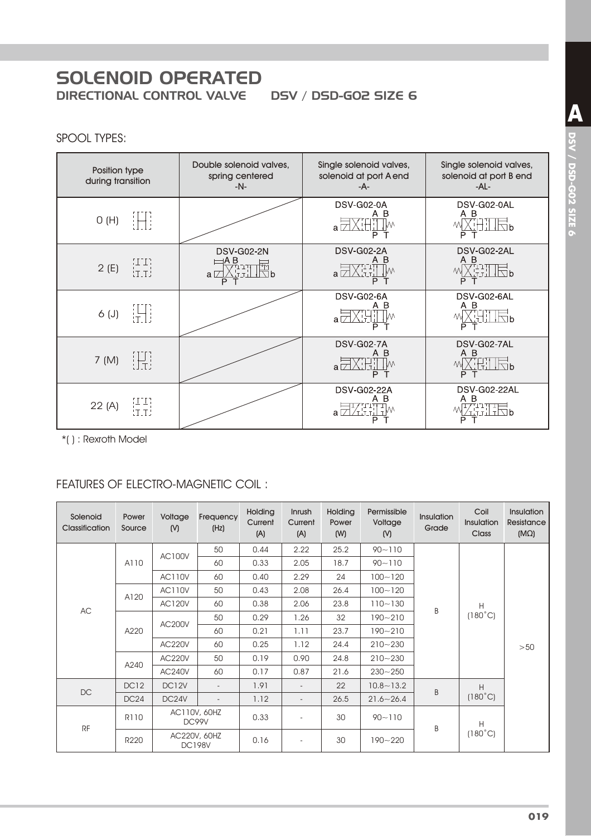# **SOLENOID OPERATED DIRECTIONAL CONTROL VALVE**

**DSV / DSD-GO2 SIZE 6** 

# **SPOOL TYPES:**

| Position type<br>during transition | Double solenoid valves,<br>spring centered<br>$-N-$ | Single solenoid valves,<br>solenoid at port A end<br>-A- | Single solenoid valves,<br>solenoid at port B end<br>-AL- |
|------------------------------------|-----------------------------------------------------|----------------------------------------------------------|-----------------------------------------------------------|
| 1HT<br>O(H)                        |                                                     | DSV-G02-0A<br>- B<br>A<br>a ⊠<br>P                       | DSV-G02-0AL<br>A B<br>GHT 12P                             |
| HH)<br>HH<br>2(E)                  | <b>DSV-G02-2N</b><br>⊟A B<br>l⊠p<br>$a\nabla$<br>P  | <b>DSV-G02-2A</b><br>B<br>a $\Box$<br>Р                  | DSV-G02-2AL<br>A B<br><b>THLE</b> b<br>P                  |
| IHI.<br>$6($ J $)$                 |                                                     | DSV-G02-6A<br>B<br>a $\Box$<br>P                         | DSV-G02-6AL<br>AВ<br>计局<br>P                              |
| H.<br>7 (M)                        |                                                     | <b>DSV-G02-7A</b><br>B<br>$a \Box$                       | DSV-G02-7AL<br>АB<br>ihi Ifid<br>P                        |
| [TT]<br>[T.T]<br>22 (A)            |                                                     | <b>DSV-G02-22A</b><br>В<br>a                             | DSV-G02-22AL<br>ΑВ                                        |

\*(): Rexroth Model

# FEATURES OF ELECTRO-MAGNETIC COIL:

| Solenoid<br>Classification | Power<br>Source  | Voltage<br>(N)        | Frequency<br>(Hz)             | Holding<br>Current<br>(A) | Inrush<br>Current<br>(A) | Holding<br>Power<br>(W) | Permissible<br>Voltage<br>(N) | Insulation<br>Grade | Coil<br>Insulation<br>Class | <b>Insulation</b><br>Resistance<br>$(M\Omega)$ |
|----------------------------|------------------|-----------------------|-------------------------------|---------------------------|--------------------------|-------------------------|-------------------------------|---------------------|-----------------------------|------------------------------------------------|
|                            |                  | <b>AC100V</b>         | 50                            | 0.44                      | 2.22                     | 25.2                    | $90 - 110$                    |                     |                             |                                                |
|                            | A110             |                       | 60                            | 0.33                      | 2.05                     | 18.7                    | $90 - 110$                    |                     |                             |                                                |
|                            |                  | <b>AC110V</b>         | 60                            | 0.40                      | 2.29                     | 24                      | $100 - 120$                   |                     |                             |                                                |
|                            | A120             | <b>AC110V</b>         | 50                            | 0.43                      | 2.08                     | 26.4                    | $100 - 120$                   | B                   | H<br>$(180^{\circ}C)$       | >50                                            |
| <b>AC</b>                  |                  | <b>AC120V</b>         | 60                            | 0.38                      | 2.06                     | 23.8                    | $110 - 130$                   |                     |                             |                                                |
|                            |                  | <b>AC200V</b><br>A220 | 50                            | 0.29                      | 1.26                     | 32                      | $190 - 210$                   |                     |                             |                                                |
|                            |                  |                       | 60                            | 0.21                      | 1.11                     | 23.7                    | $190 - 210$                   |                     |                             |                                                |
|                            |                  | <b>AC220V</b>         | 60                            | 0.25                      | 1.12                     | 24.4                    | $210 - 230$                   |                     |                             |                                                |
|                            |                  | <b>AC220V</b>         | 50                            | 0.19                      | 0.90                     | 24.8                    | $210 - 230$                   |                     |                             |                                                |
|                            | A240             | <b>AC240V</b>         | 60                            | 0.17                      | 0.87                     | 21.6                    | $230 - 250$                   |                     |                             |                                                |
| $D C$                      | DC <sub>12</sub> | DC12V                 | $\overline{\phantom{a}}$      | 1.91                      | $\overline{\phantom{a}}$ | 22                      | $10.8 - 13.2$                 | B                   | Η                           |                                                |
|                            | DC24             | DC24V                 | $\overline{\phantom{a}}$      | 1.12                      | $\overline{\phantom{a}}$ | 26.5                    | $21.6 - 26.4$                 |                     | $(180^{\circ}C)$            |                                                |
| RF                         | R110             |                       | AC110V, 60HZ<br>DC99V         | 0.33                      | $\overline{\phantom{a}}$ | 30                      | $90 - 110$                    | B                   | H                           |                                                |
|                            | R220             |                       | AC220V, 60HZ<br><b>DC198V</b> | 0.16                      | $\overline{\phantom{a}}$ | 30                      | $190 - 220$                   |                     | $(180^{\circ}C)$            |                                                |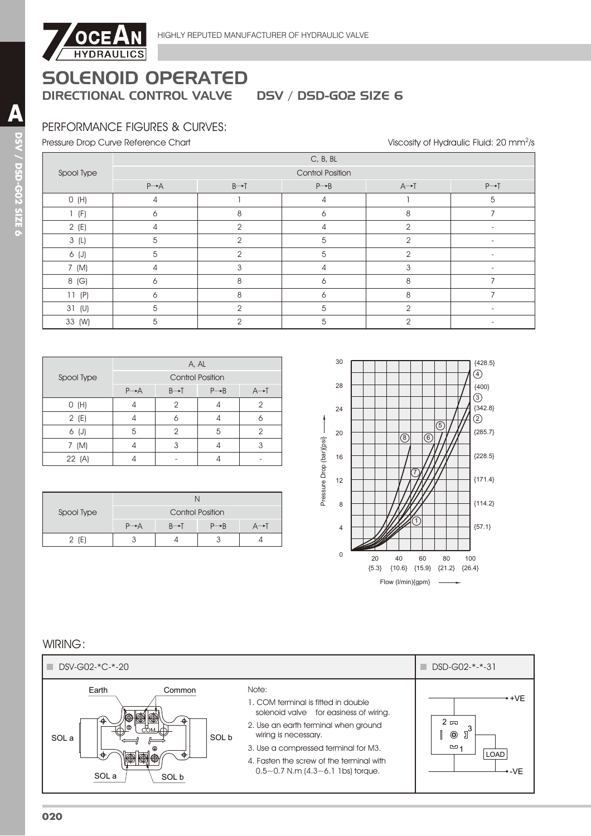

# PERFORMANCE FIGURES & CURVES:

Pressure Drop Curve Reference Chart

Viscosity of Hydraulic Fluid: 20 mm<sup>2</sup>/s

|            | C, B, BL                |                   |                   |                   |                   |  |  |  |  |
|------------|-------------------------|-------------------|-------------------|-------------------|-------------------|--|--|--|--|
| Spool Type | <b>Control Position</b> |                   |                   |                   |                   |  |  |  |  |
|            | $P \rightarrow A$       | $B \rightarrow T$ | $P \rightarrow B$ | $A \rightarrow T$ | $P \rightarrow T$ |  |  |  |  |
| O(H)       | 4                       |                   | 4                 |                   | 5                 |  |  |  |  |
| $1$ (F)    | 6                       | 8                 | 6                 | 8                 |                   |  |  |  |  |
| 2(E)       | 4                       | $\mathfrak{p}$    | 4                 | $\mathfrak{p}$    |                   |  |  |  |  |
| 3(L)       | 5                       | $\mathfrak{p}$    | 5                 | $\mathfrak{p}$    |                   |  |  |  |  |
| 6 (J)      | 5                       | $\mathcal{P}$     | 5                 | $\mathfrak{p}$    |                   |  |  |  |  |
| 7 (M)      | 4                       | 3                 | 4                 | 3                 |                   |  |  |  |  |
| 8 (G)      | 6                       | 8                 | 6                 | 8                 |                   |  |  |  |  |
| 11(P)      | 6                       | 8                 | 6                 | 8                 |                   |  |  |  |  |
| 31 (U)     | 5                       | $\mathfrak{D}$    | 5                 | 2                 | $\blacksquare$    |  |  |  |  |
| 33 (W)     | 5                       | $\mathfrak{D}$    | 5                 | $\overline{2}$    |                   |  |  |  |  |

|            | A, AL             |                         |                   |                   |  |  |  |  |
|------------|-------------------|-------------------------|-------------------|-------------------|--|--|--|--|
| Spool Type |                   | <b>Control Position</b> |                   |                   |  |  |  |  |
|            | $P \rightarrow A$ | $B \rightarrow I$       | $P \rightarrow B$ | $A \rightarrow I$ |  |  |  |  |
| O(H)       |                   | 2                       |                   | 2                 |  |  |  |  |
| 2(E)       |                   | n                       |                   |                   |  |  |  |  |
| 6 (J)      | 5                 | 2                       | 5                 | ာ                 |  |  |  |  |
| (M)<br>7   |                   | 3                       |                   |                   |  |  |  |  |
| 22 (A)     |                   |                         |                   |                   |  |  |  |  |

| Spool Type | <b>Control Position</b> |                   |                   |  |  |  |  |
|------------|-------------------------|-------------------|-------------------|--|--|--|--|
|            | $P \rightarrow A$       | $B \rightarrow T$ | $P \rightarrow B$ |  |  |  |  |
| $2$ (E)    |                         |                   |                   |  |  |  |  |



### WIRING:

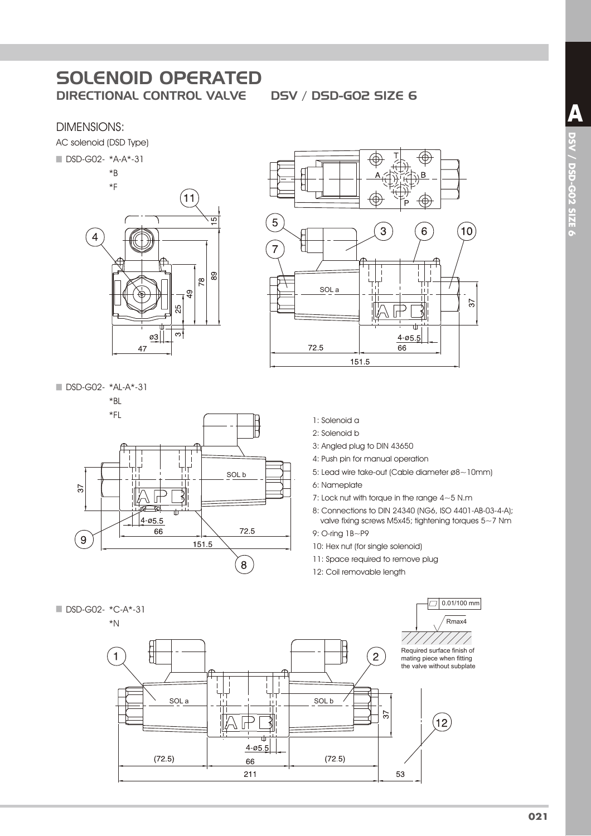### DIMENSIONS:

AC solenoid (DSD Type)



DSD-G02- \*AL-A\*-31



- $\circledast$ B ⇎ 5 3 6  $10$  $\overline{7}$ SOL a  $57$  $\overline{\phantom{1}}$ ₹ ф  $4 - 055$ 72.5  $66$ 151.5
	- 1: Solenoid a
	- 2: Solenoid b
	- 3: Angled plug to DIN 43650
	- 4: Push pin for manual operation
	- 5: Lead wire take-out (Cable diameter ø8~10mm)
	- 6: Nameplate
	- 7: Lock nut with torque in the range 4~5 N.m
	- 8: Connections to DIN 24340 (NG6, ISO 4401-AB-03-4-A); valve fixing screws M5x45; tightening torques 5~7 Nm

9: O-ring 1B~P9

- 10: Hex nut (for single solenoid)
- 11: Space required to remove plug
- 12: Coil removable length

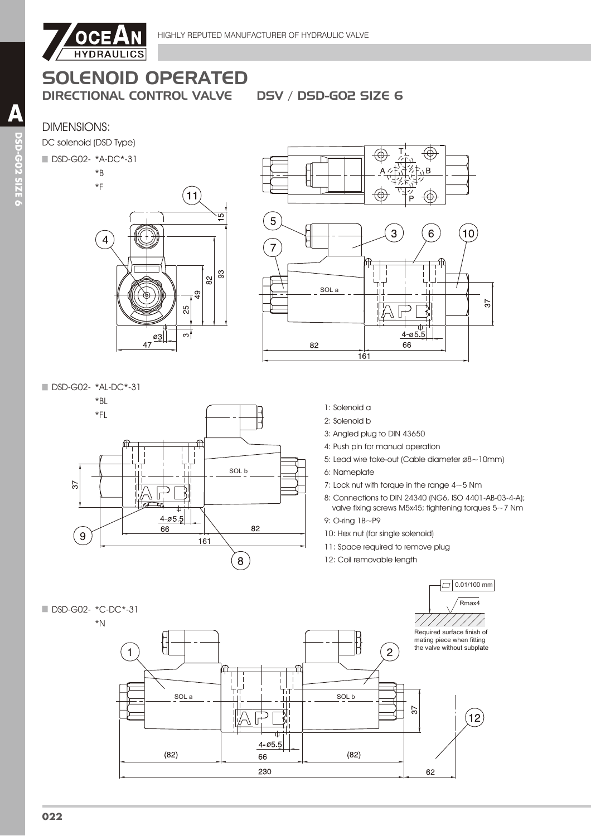

# SOLENOID OPERATED

DIRECTIONAL CONTROL VALVE DSV / DSD-GO2 SIZE 6

# DIMENSIONS:

DC solenoid (DSD Type)

#### ■ DSD-G02- \*A-DC\*-31





DSD-G02- \*AL-DC\*-31





- 1: Solenoid a
- 2: Solenoid b
- 3: Angled plug to DIN 43650
- 4: Push pin for manual operation
- 5: Lead wire take-out (Cable diameter ø8~10mm)
- 6: Nameplate
- 7: Lock nut with torque in the range 4~5 Nm
- 8: Connections to DIN 24340 (NG6, ISO 4401-AB-03-4-A); valve fixing screws M5x45; tightening torques 5~7 Nm
- 9: O-ring 1B~P9
- 10: Hex nut (for single solenoid)
- 11: Space required to remove plug
- 12: Coil removable length

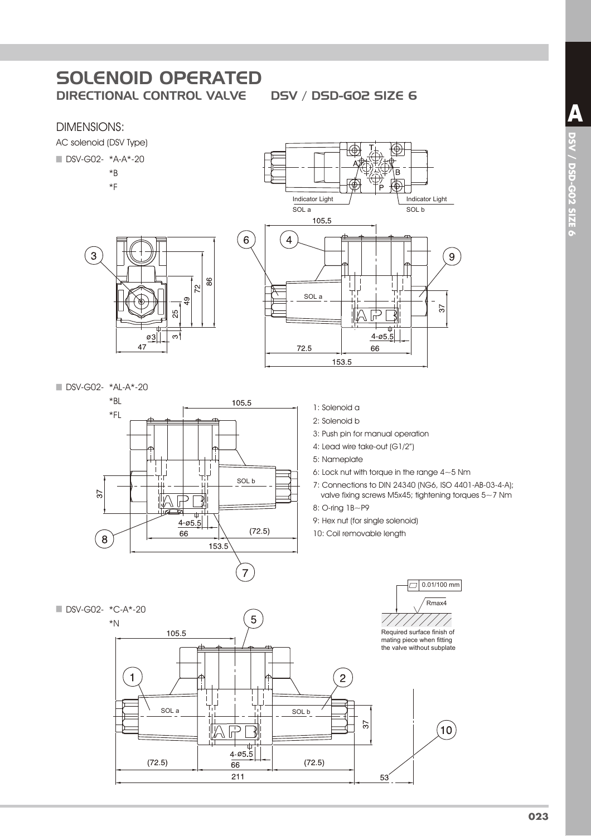⊕

# DIMENSIONS:

AC solenoid (DSV Type) ■ DSV-G02- \*A-A\*-20  $*B$ 

3

 $*F$ 

 $\sqrt{6}$  $\overline{4}$ 86  $\overline{2}$  $\frac{6}{4}$ ξŚ  $\sigma$ 3|  $\infty$ 47



DSV-G02- \*AL-A\*-20



- 1: Solenoid a
- 2: Solenoid b
- 3: Push pin for manual operation
- 4: Lead wire take-out (G1/2")
- 5: Nameplate
- 6: Lock nut with torque in the range  $4{\sim}5$  Nm
- 7: Connections to DIN 24340 (NG6, ISO 4401-AB-03-4-A); valve fixing screws M5x45; tightening torques 5~7 Nm
- 8: O-ring 1B~P9
- 9: Hex nut (for single solenoid)
- 10: Coil removable length

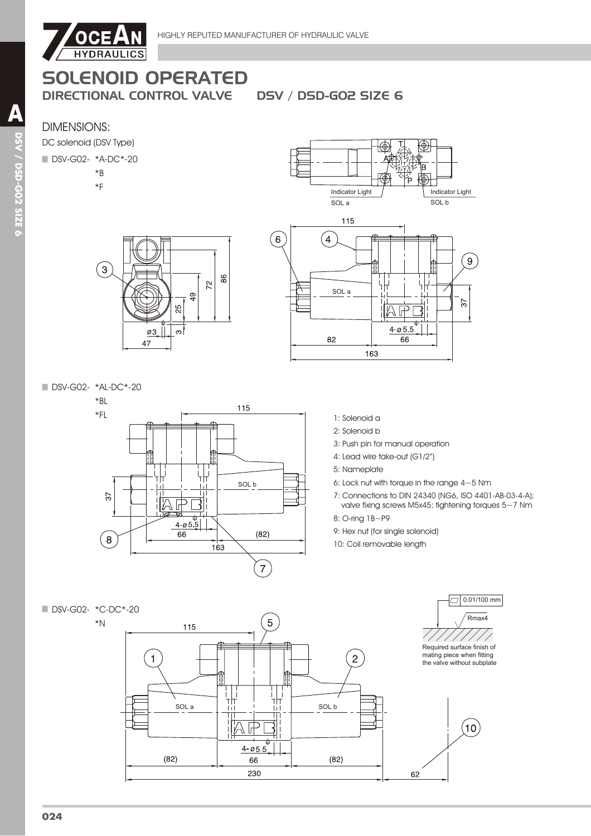

# **SOLENOID OPERATED**

**DIRECTIONAL CONTROL VALVE** 

**DSV / DSD-GO2 SIZE 6** 

# **DIMENSIONS:**



#### DSV-G02- \*A-DC\*-20

- $*B$
- $*F$







DSV-G02- \*AL-DC\*-20



- 1: Solenoid a
- 2: Solenoid b
- 3: Push pin for manual operation
- 4: Lead wire take-out (G1/2") 5: Nameplate
- 6: Lock nut with torque in the range  $4{\sim}5$  Nm
- 7: Connections to DIN 24340 (NG6, ISO 4401-AB-03-4-A); valve fixing screws M5x45; tightening torques  $5~\sim$ 7 Nm
- 8: O-ring 1B~P9
- 9: Hex nut (for single solenoid)
- 10: Coil removable length